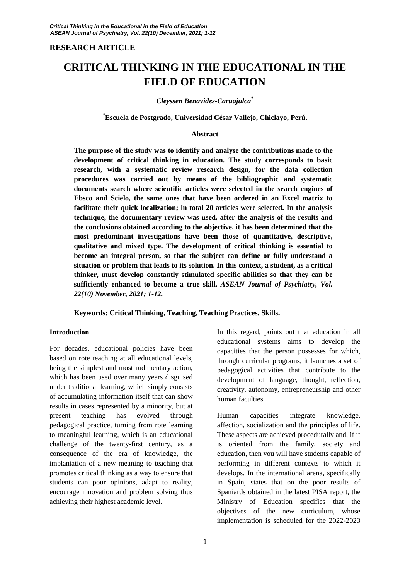# **RESEARCH ARTICLE**

# **CRITICAL THINKING IN THE EDUCATIONAL IN THE FIELD OF EDUCATION**

#### *Cleyssen Benavides-Caruajulca\**

#### **\*Escuela de Postgrado, Universidad César Vallejo, Chiclayo, Perú.**

#### **Abstract**

**The purpose of the study was to identify and analyse the contributions made to the development of critical thinking in education. The study corresponds to basic research, with a systematic review research design, for the data collection procedures was carried out by means of the bibliographic and systematic documents search where scientific articles were selected in the search engines of Ebsco and Scielo, the same ones that have been ordered in an Excel matrix to facilitate their quick localization; in total 20 articles were selected. In the analysis technique, the documentary review was used, after the analysis of the results and the conclusions obtained according to the objective, it has been determined that the most predominant investigations have been those of quantitative, descriptive, qualitative and mixed type. The development of critical thinking is essential to become an integral person, so that the subject can define or fully understand a situation or problem that leads to its solution. In this context, a student, as a critical thinker, must develop constantly stimulated specific abilities so that they can be sufficiently enhanced to become a true skill.** *ASEAN Journal of Psychiatry, Vol. 22(10) November, 2021; 1-12.*

#### **Keywords: Critical Thinking, Teaching, Teaching Practices, Skills.**

#### **Introduction**

For decades, educational policies have been based on rote teaching at all educational levels, being the simplest and most rudimentary action, which has been used over many years disguised under traditional learning, which simply consists of accumulating information itself that can show results in cases represented by a minority, but at present teaching has evolved through pedagogical practice, turning from rote learning to meaningful learning, which is an educational challenge of the twenty-first century, as a consequence of the era of knowledge, the implantation of a new meaning to teaching that promotes critical thinking as a way to ensure that students can pour opinions, adapt to reality, encourage innovation and problem solving thus achieving their highest academic level.

In this regard, points out that education in all educational systems aims to develop the capacities that the person possesses for which, through curricular programs, it launches a set of pedagogical activities that contribute to the development of language, thought, reflection, creativity, autonomy, entrepreneurship and other human faculties.

Human capacities integrate knowledge, affection, socialization and the principles of life. These aspects are achieved procedurally and, if it is oriented from the family, society and education, then you will have students capable of performing in different contexts to which it develops. In the international arena, specifically in Spain, states that on the poor results of Spaniards obtained in the latest PISA report, the Ministry of Education specifies that the objectives of the new curriculum, whose implementation is scheduled for the 2022-2023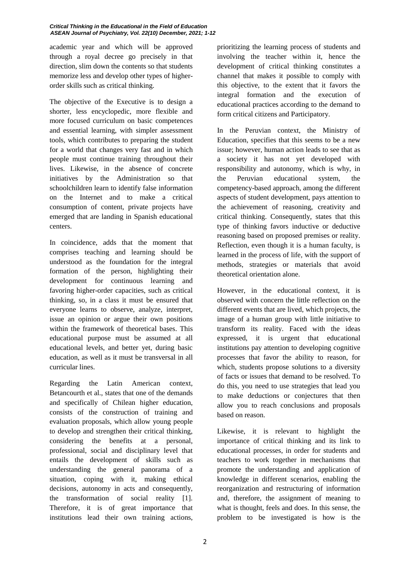#### *Critical Thinking in the Educational in the Field of Education ASEAN Journal of Psychiatry, Vol. 22(10) December, 2021; 1-12*

academic year and which will be approved through a royal decree go precisely in that direction, slim down the contents so that students memorize less and develop other types of higherorder skills such as critical thinking.

The objective of the Executive is to design a shorter, less encyclopedic, more flexible and more focused curriculum on basic competences and essential learning, with simpler assessment tools, which contributes to preparing the student for a world that changes very fast and in which people must continue training throughout their lives. Likewise, in the absence of concrete initiatives by the Administration so that schoolchildren learn to identify false information on the Internet and to make a critical consumption of content, private projects have emerged that are landing in Spanish educational centers.

In coincidence, adds that the moment that comprises teaching and learning should be understood as the foundation for the integral formation of the person, highlighting their development for continuous learning and favoring higher-order capacities, such as critical thinking, so, in a class it must be ensured that everyone learns to observe, analyze, interpret, issue an opinion or argue their own positions within the framework of theoretical bases. This educational purpose must be assumed at all educational levels, and better yet, during basic education, as well as it must be transversal in all curricular lines.

Regarding the Latin American context, Betancourth et al., states that one of the demands and specifically of Chilean higher education, consists of the construction of training and evaluation proposals, which allow young people to develop and strengthen their critical thinking, considering the benefits at a personal, professional, social and disciplinary level that entails the development of skills such as understanding the general panorama of a situation, coping with it, making ethical decisions, autonomy in acts and consequently, the transformation of social reality [1]. Therefore, it is of great importance that institutions lead their own training actions,

prioritizing the learning process of students and involving the teacher within it, hence the development of critical thinking constitutes a channel that makes it possible to comply with this objective, to the extent that it favors the integral formation and the execution of educational practices according to the demand to form critical citizens and Participatory.

In the Peruvian context, the Ministry of Education, specifies that this seems to be a new issue; however, human action leads to see that as a society it has not yet developed with responsibility and autonomy, which is why, in the Peruvian educational system, the competency-based approach, among the different aspects of student development, pays attention to the achievement of reasoning, creativity and critical thinking. Consequently, states that this type of thinking favors inductive or deductive reasoning based on proposed premises or reality. Reflection, even though it is a human faculty, is learned in the process of life, with the support of methods, strategies or materials that avoid theoretical orientation alone.

However, in the educational context, it is observed with concern the little reflection on the different events that are lived, which projects, the image of a human group with little initiative to transform its reality. Faced with the ideas expressed, it is urgent that educational institutions pay attention to developing cognitive processes that favor the ability to reason, for which, students propose solutions to a diversity of facts or issues that demand to be resolved. To do this, you need to use strategies that lead you to make deductions or conjectures that then allow you to reach conclusions and proposals based on reason.

Likewise, it is relevant to highlight the importance of critical thinking and its link to educational processes, in order for students and teachers to work together in mechanisms that promote the understanding and application of knowledge in different scenarios, enabling the reorganization and restructuring of information and, therefore, the assignment of meaning to what is thought, feels and does. In this sense, the problem to be investigated is how is the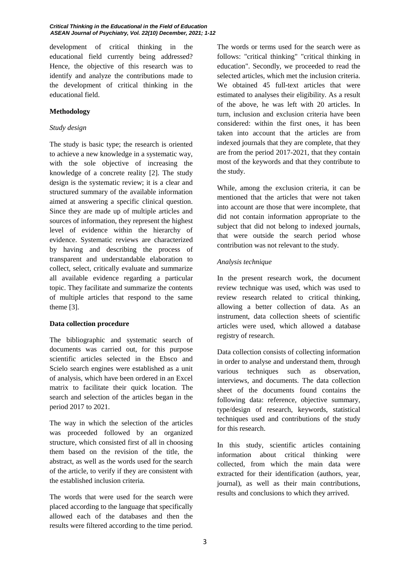development of critical thinking in the educational field currently being addressed? Hence, the objective of this research was to identify and analyze the contributions made to the development of critical thinking in the educational field.

## **Methodology**

# *Study design*

The study is basic type; the research is oriented to achieve a new knowledge in a systematic way, with the sole objective of increasing the knowledge of a concrete reality [2]. The study design is the systematic review; it is a clear and structured summary of the available information aimed at answering a specific clinical question. Since they are made up of multiple articles and sources of information, they represent the highest level of evidence within the hierarchy of evidence. Systematic reviews are characterized by having and describing the process of transparent and understandable elaboration to collect, select, critically evaluate and summarize all available evidence regarding a particular topic. They facilitate and summarize the contents of multiple articles that respond to the same theme [3].

# **Data collection procedure**

The bibliographic and systematic search of documents was carried out, for this purpose scientific articles selected in the Ebsco and Scielo search engines were established as a unit of analysis, which have been ordered in an Excel matrix to facilitate their quick location. The search and selection of the articles began in the period 2017 to 2021.

The way in which the selection of the articles was proceeded followed by an organized structure, which consisted first of all in choosing them based on the revision of the title, the abstract, as well as the words used for the search of the article, to verify if they are consistent with the established inclusion criteria.

The words that were used for the search were placed according to the language that specifically allowed each of the databases and then the results were filtered according to the time period. The words or terms used for the search were as follows: "critical thinking" "critical thinking in education". Secondly, we proceeded to read the selected articles, which met the inclusion criteria. We obtained 45 full-text articles that were estimated to analyses their eligibility. As a result of the above, he was left with 20 articles. In turn, inclusion and exclusion criteria have been considered: within the first ones, it has been taken into account that the articles are from indexed journals that they are complete, that they are from the period 2017-2021, that they contain most of the keywords and that they contribute to the study.

While, among the exclusion criteria, it can be mentioned that the articles that were not taken into account are those that were incomplete, that did not contain information appropriate to the subject that did not belong to indexed journals, that were outside the search period whose contribution was not relevant to the study.

## *Analysis technique*

In the present research work, the document review technique was used, which was used to review research related to critical thinking, allowing a better collection of data. As an instrument, data collection sheets of scientific articles were used, which allowed a database registry of research.

Data collection consists of collecting information in order to analyse and understand them, through various techniques such as observation, interviews, and documents. The data collection sheet of the documents found contains the following data: reference, objective summary, type/design of research, keywords, statistical techniques used and contributions of the study for this research.

In this study, scientific articles containing information about critical thinking were collected, from which the main data were extracted for their identification (authors, year, journal), as well as their main contributions, results and conclusions to which they arrived.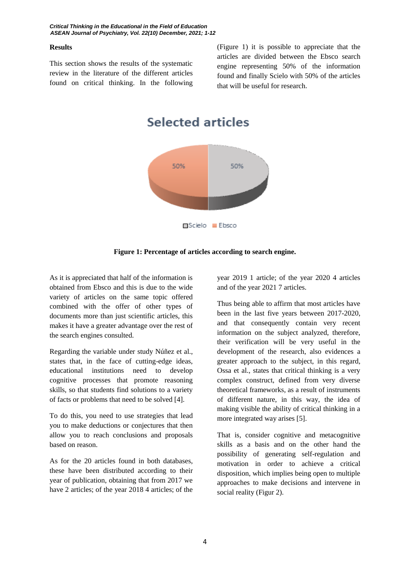#### **Results**

This section shows the results of the systematic review in the literature of the different articles found on critical thinking. In the following (Figure 1) it is possible to appreciate that the articles are divided between the Ebsco search engine representing 50% of the information found and finally Scielo with 50% of the articles that will be useful for research.

**Selected articles** 





As it is appreciated that half of the information is obtained from Ebsco and this is due to the wide variety of articles on the same topic offered combined with the offer of other types of documents more than just scientific articles, this makes it have a greater advantage over the rest of the search engines consulted.

Regarding the variable under study Núñez et al., states that, in the face of cutting-edge ideas, educational institutions need to develop cognitive processes that promote reasoning skills, so that students find solutions to a variety of facts or problems that need to be solved [4].

To do this, you need to use strategies that lead you to make deductions or conjectures that then allow you to reach conclusions and proposals based on reason.

As for the 20 articles found in both databases, these have been distributed according to their year of publication, obtaining that from 2017 we have 2 articles; of the year 2018 4 articles; of the

year 2019 1 article; of the year 2020 4 articles and of the year 2021 7 articles.

Thus being able to affirm that most articles have been in the last five years between 2017-2020, and that consequently contain very recent information on the subject analyzed, therefore, their verification will be very useful in the development of the research, also evidences a greater approach to the subject, in this regard, Ossa et al., states that critical thinking is a very complex construct, defined from very diverse theoretical frameworks, as a result of instruments of different nature, in this way, the idea of making visible the ability of critical thinking in a more integrated way arises [5].

That is, consider cognitive and metacognitive skills as a basis and on the other hand the possibility of generating self-regulation and motivation in order to achieve a critical disposition, which implies being open to multiple approaches to make decisions and intervene in social reality (Figur 2).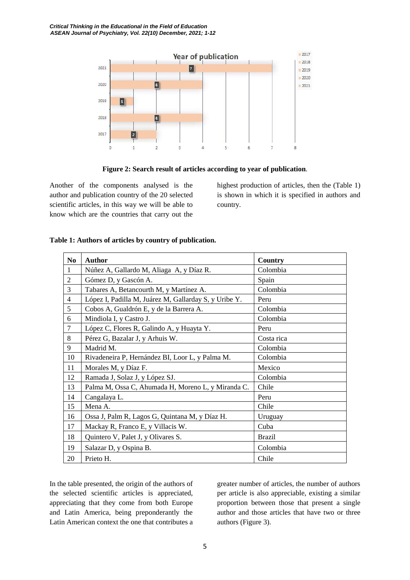

**Figure 2: Search result of articles according to year of publication**.

Another of the components analysed is the author and publication country of the 20 selected scientific articles, in this way we will be able to know which are the countries that carry out the highest production of articles, then the (Table 1) is shown in which it is specified in authors and country.

| N <sub>0</sub> | <b>Author</b>                                         | Country       |
|----------------|-------------------------------------------------------|---------------|
| 1              | Núñez A, Gallardo M, Aliaga A, y Díaz R.              | Colombia      |
| $\overline{2}$ | Gómez D, y Gascón A.                                  | Spain         |
| 3              | Tabares A, Betancourth M, y Martínez A.               | Colombia      |
| $\overline{4}$ | López I, Padilla M, Juárez M, Gallarday S, y Uribe Y. | Peru          |
| 5              | Cobos A, Gualdrón E, y de la Barrera A.               | Colombia      |
| 6              | Mindiola I, y Castro J.                               | Colombia      |
| 7              | López C, Flores R, Galindo A, y Huayta Y.             | Peru          |
| 8              | Pérez G, Bazalar J, y Arhuis W.                       | Costa rica    |
| 9              | Madrid M.                                             | Colombia      |
| 10             | Rivadeneira P, Hernández BI, Loor L, y Palma M.       | Colombia      |
| 11             | Morales M, y Díaz F.                                  | Mexico        |
| 12             | Ramada J, Solaz J, y López SJ.                        | Colombia      |
| 13             | Palma M, Ossa C, Ahumada H, Moreno L, y Miranda C.    | Chile         |
| 14             | Cangalaya L.                                          | Peru          |
| 15             | Mena A.                                               | Chile         |
| 16             | Ossa J, Palm R, Lagos G, Quintana M, y Díaz H.        | Uruguay       |
| 17             | Mackay R, Franco E, y Villacis W.                     | Cuba          |
| 18             | Quintero V, Palet J, y Olivares S.                    | <b>Brazil</b> |
| 19             | Salazar D, y Ospina B.                                | Colombia      |
| 20             | Prieto H.                                             | Chile         |

# **Table 1: Authors of articles by country of publication.**

In the table presented, the origin of the authors of the selected scientific articles is appreciated, appreciating that they come from both Europe and Latin America, being preponderantly the Latin American context the one that contributes a

greater number of articles, the number of authors per article is also appreciable, existing a similar proportion between those that present a single author and those articles that have two or three authors (Figure 3).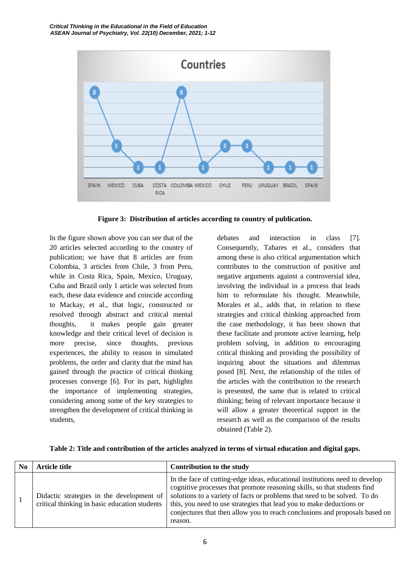

**Figure 3: Distribution of articles according to country of publication.**

In the figure shown above you can see that of the 20 articles selected according to the country of publication; we have that 8 articles are from Colombia, 3 articles from Chile, 3 from Peru, while in Costa Rica, Spain, Mexico, Uruguay, Cuba and Brazil only 1 article was selected from each, these data evidence and coincide according to Mackay, et al., that logic, constructed or resolved through abstract and critical mental thoughts, it makes people gain greater knowledge and their critical level of decision is more precise, since thoughts, previous experiences, the ability to reason in simulated problems, the order and clarity that the mind has gained through the practice of critical thinking processes converge [6]. For its part, highlights the importance of implementing strategies, considering among some of the key strategies to strengthen the development of critical thinking in students,

debates and interaction in class [7]. Consequently, Tabares et al., considers that among these is also critical argumentation which contributes to the construction of positive and negative arguments against a controversial idea, involving the individual in a process that leads him to reformulate his thought. Meanwhile, Morales et al., adds that, in relation to these strategies and critical thinking approached from the case methodology, it has been shown that these facilitate and promote active learning, help problem solving, in addition to encouraging critical thinking and providing the possibility of inquiring about the situations and dilemmas posed [8]. Next, the relationship of the titles of the articles with the contribution to the research is presented, the same that is related to critical thinking; being of relevant importance because it will allow a greater theoretical support in the research as well as the comparison of the results obtained (Table 2).

**Table 2: Title and contribution of the articles analyzed in terms of virtual education and digital gaps.**

| N <sub>0</sub> | Article title                                                                              | <b>Contribution to the study</b>                                                                                                                                                                                                                                                                                                                                                                       |
|----------------|--------------------------------------------------------------------------------------------|--------------------------------------------------------------------------------------------------------------------------------------------------------------------------------------------------------------------------------------------------------------------------------------------------------------------------------------------------------------------------------------------------------|
|                | Didactic strategies in the development of<br>critical thinking in basic education students | In the face of cutting-edge ideas, educational institutions need to develop<br>cognitive processes that promote reasoning skills, so that students find<br>solutions to a variety of facts or problems that need to be solved. To do<br>this, you need to use strategies that lead you to make deductions or<br>conjectures that then allow you to reach conclusions and proposals based on<br>reason. |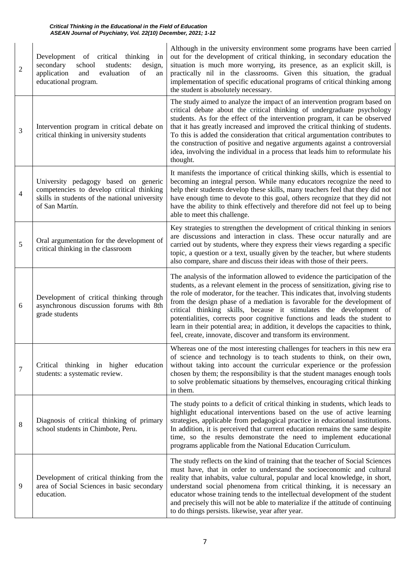| $\overline{2}$ | Development of critical thinking in<br>secondary<br>school<br>students:<br>design,<br>application<br>of<br>and<br>evaluation<br>an<br>educational program. | Although in the university environment some programs have been carried<br>out for the development of critical thinking, in secondary education the<br>situation is much more worrying, its presence, as an explicit skill, is<br>practically nil in the classrooms. Given this situation, the gradual<br>implementation of specific educational programs of critical thinking among<br>the student is absolutely necessary.                                                                                                                                                                                                               |
|----------------|------------------------------------------------------------------------------------------------------------------------------------------------------------|-------------------------------------------------------------------------------------------------------------------------------------------------------------------------------------------------------------------------------------------------------------------------------------------------------------------------------------------------------------------------------------------------------------------------------------------------------------------------------------------------------------------------------------------------------------------------------------------------------------------------------------------|
| 3              | Intervention program in critical debate on<br>critical thinking in university students                                                                     | The study aimed to analyze the impact of an intervention program based on<br>critical debate about the critical thinking of undergraduate psychology<br>students. As for the effect of the intervention program, it can be observed<br>that it has greatly increased and improved the critical thinking of students.<br>To this is added the consideration that critical argumentation contributes to<br>the construction of positive and negative arguments against a controversial<br>idea, involving the individual in a process that leads him to reformulate his<br>thought.                                                         |
| $\overline{4}$ | University pedagogy based on generic<br>competencies to develop critical thinking<br>skills in students of the national university<br>of San Martín.       | It manifests the importance of critical thinking skills, which is essential to<br>becoming an integral person. While many educators recognize the need to<br>help their students develop these skills, many teachers feel that they did not<br>have enough time to devote to this goal, others recognize that they did not<br>have the ability to think effectively and therefore did not feel up to being<br>able to meet this challenge.                                                                                                                                                                                                |
| 5              | Oral argumentation for the development of<br>critical thinking in the classroom                                                                            | Key strategies to strengthen the development of critical thinking in seniors<br>are discussions and interaction in class. These occur naturally and are<br>carried out by students, where they express their views regarding a specific<br>topic, a question or a text, usually given by the teacher, but where students<br>also compare, share and discuss their ideas with those of their peers.                                                                                                                                                                                                                                        |
| 6              | Development of critical thinking through<br>asynchronous discussion forums with 8th<br>grade students                                                      | The analysis of the information allowed to evidence the participation of the<br>students, as a relevant element in the process of sensitization, giving rise to<br>the role of moderator, for the teacher. This indicates that, involving students<br>from the design phase of a mediation is favorable for the development of<br>critical thinking skills, because it stimulates the development of<br>potentialities, corrects poor cognitive functions and leads the student to<br>learn in their potential area; in addition, it develops the capacities to think,<br>feel, create, innovate, discover and transform its environment. |
| 7              | Critical thinking in higher<br>education<br>students: a systematic review.                                                                                 | Whereas one of the most interesting challenges for teachers in this new era<br>of science and technology is to teach students to think, on their own,<br>without taking into account the curricular experience or the profession<br>chosen by them; the responsibility is that the student manages enough tools<br>to solve problematic situations by themselves, encouraging critical thinking<br>in them.                                                                                                                                                                                                                               |
| 8              | Diagnosis of critical thinking of primary<br>school students in Chimbote, Peru.                                                                            | The study points to a deficit of critical thinking in students, which leads to<br>highlight educational interventions based on the use of active learning<br>strategies, applicable from pedagogical practice in educational institutions.<br>In addition, it is perceived that current education remains the same despite<br>time, so the results demonstrate the need to implement educational<br>programs applicable from the National Education Curriculum.                                                                                                                                                                           |
| 9              | Development of critical thinking from the<br>area of Social Sciences in basic secondary<br>education.                                                      | The study reflects on the kind of training that the teacher of Social Sciences<br>must have, that in order to understand the socioeconomic and cultural<br>reality that inhabits, value cultural, popular and local knowledge, in short,<br>understand social phenomena from critical thinking, it is necessary an<br>educator whose training tends to the intellectual development of the student<br>and precisely this will not be able to materialize if the attitude of continuing<br>to do things persists. likewise, year after year.                                                                                               |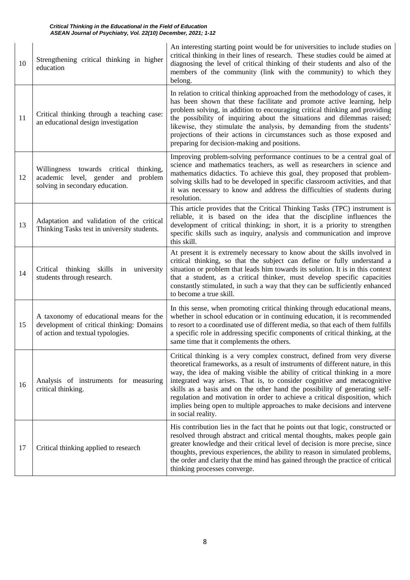| 10 | Strengthening critical thinking in higher<br>education                                                                    | An interesting starting point would be for universities to include studies on<br>critical thinking in their lines of research. These studies could be aimed at<br>diagnosing the level of critical thinking of their students and also of the<br>members of the community (link with the community) to which they<br>belong.                                                                                                                                                                                                                                                          |
|----|---------------------------------------------------------------------------------------------------------------------------|---------------------------------------------------------------------------------------------------------------------------------------------------------------------------------------------------------------------------------------------------------------------------------------------------------------------------------------------------------------------------------------------------------------------------------------------------------------------------------------------------------------------------------------------------------------------------------------|
| 11 | Critical thinking through a teaching case:<br>an educational design investigation                                         | In relation to critical thinking approached from the methodology of cases, it<br>has been shown that these facilitate and promote active learning, help<br>problem solving, in addition to encouraging critical thinking and providing<br>the possibility of inquiring about the situations and dilemmas raised;<br>likewise, they stimulate the analysis, by demanding from the students'<br>projections of their actions in circumstances such as those exposed and<br>preparing for decision-making and positions.                                                                 |
| 12 | Willingness towards critical<br>thinking,<br>academic level, gender and<br>problem<br>solving in secondary education.     | Improving problem-solving performance continues to be a central goal of<br>science and mathematics teachers, as well as researchers in science and<br>mathematics didactics. To achieve this goal, they proposed that problem-<br>solving skills had to be developed in specific classroom activities, and that<br>it was necessary to know and address the difficulties of students during<br>resolution.                                                                                                                                                                            |
| 13 | Adaptation and validation of the critical<br>Thinking Tasks test in university students.                                  | This article provides that the Critical Thinking Tasks (TPC) instrument is<br>reliable, it is based on the idea that the discipline influences the<br>development of critical thinking; in short, it is a priority to strengthen<br>specific skills such as inquiry, analysis and communication and improve<br>this skill.                                                                                                                                                                                                                                                            |
| 14 | Critical thinking skills<br>in university<br>students through research.                                                   | At present it is extremely necessary to know about the skills involved in<br>critical thinking, so that the subject can define or fully understand a<br>situation or problem that leads him towards its solution. It is in this context<br>that a student, as a critical thinker, must develop specific capacities<br>constantly stimulated, in such a way that they can be sufficiently enhanced<br>to become a true skill.                                                                                                                                                          |
| 15 | A taxonomy of educational means for the<br>development of critical thinking: Domains<br>of action and textual typologies. | In this sense, when promoting critical thinking through educational means,<br>whether in school education or in continuing education, it is recommended<br>to resort to a coordinated use of different media, so that each of them fulfills<br>a specific role in addressing specific components of critical thinking, at the<br>same time that it complements the others.                                                                                                                                                                                                            |
| 16 | Analysis of instruments for measuring<br>critical thinking.                                                               | Critical thinking is a very complex construct, defined from very diverse<br>theoretical frameworks, as a result of instruments of different nature, in this<br>way, the idea of making visible the ability of critical thinking in a more<br>integrated way arises. That is, to consider cognitive and metacognitive<br>skills as a basis and on the other hand the possibility of generating self-<br>regulation and motivation in order to achieve a critical disposition, which<br>implies being open to multiple approaches to make decisions and intervene<br>in social reality. |
| 17 | Critical thinking applied to research                                                                                     | His contribution lies in the fact that he points out that logic, constructed or<br>resolved through abstract and critical mental thoughts, makes people gain<br>greater knowledge and their critical level of decision is more precise, since<br>thoughts, previous experiences, the ability to reason in simulated problems,<br>the order and clarity that the mind has gained through the practice of critical<br>thinking processes converge.                                                                                                                                      |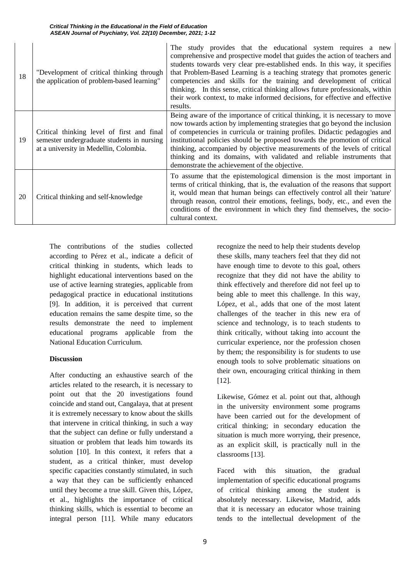| 18 | "Development of critical thinking through<br>the application of problem-based learning"                                            | The study provides that the educational system requires a new<br>comprehensive and prospective model that guides the action of teachers and<br>students towards very clear pre-established ends. In this way, it specifies<br>that Problem-Based Learning is a teaching strategy that promotes generic<br>competencies and skills for the training and development of critical<br>thinking. In this sense, critical thinking allows future professionals, within<br>their work context, to make informed decisions, for effective and effective<br>results. |
|----|------------------------------------------------------------------------------------------------------------------------------------|-------------------------------------------------------------------------------------------------------------------------------------------------------------------------------------------------------------------------------------------------------------------------------------------------------------------------------------------------------------------------------------------------------------------------------------------------------------------------------------------------------------------------------------------------------------|
| 19 | Critical thinking level of first and final<br>semester undergraduate students in nursing<br>at a university in Medellin, Colombia. | Being aware of the importance of critical thinking, it is necessary to move<br>now towards action by implementing strategies that go beyond the inclusion<br>of competencies in curricula or training profiles. Didactic pedagogies and<br>institutional policies should be proposed towards the promotion of critical<br>thinking, accompanied by objective measurements of the levels of critical<br>thinking and its domains, with validated and reliable instruments that<br>demonstrate the achievement of the objective.                              |
| 20 | Critical thinking and self-knowledge                                                                                               | To assume that the epistemological dimension is the most important in<br>terms of critical thinking, that is, the evaluation of the reasons that support<br>it, would mean that human beings can effectively control all their 'nature'<br>through reason, control their emotions, feelings, body, etc., and even the<br>conditions of the environment in which they find themselves, the socio-<br>cultural context.                                                                                                                                       |

The contributions of the studies collected according to Pérez et al., indicate a deficit of critical thinking in students, which leads to highlight educational interventions based on the use of active learning strategies, applicable from pedagogical practice in educational institutions [9]. In addition, it is perceived that current education remains the same despite time, so the results demonstrate the need to implement educational programs applicable from the National Education Curriculum.

#### **Discussion**

After conducting an exhaustive search of the articles related to the research, it is necessary to point out that the 20 investigations found coincide and stand out, Cangalaya, that at present it is extremely necessary to know about the skills that intervene in critical thinking, in such a way that the subject can define or fully understand a situation or problem that leads him towards its solution [10]. In this context, it refers that a student, as a critical thinker, must develop specific capacities constantly stimulated, in such a way that they can be sufficiently enhanced until they become a true skill. Given this, López, et al., highlights the importance of critical thinking skills, which is essential to become an integral person [11]. While many educators

recognize the need to help their students develop these skills, many teachers feel that they did not have enough time to devote to this goal, others recognize that they did not have the ability to think effectively and therefore did not feel up to being able to meet this challenge. In this way, López, et al., adds that one of the most latent challenges of the teacher in this new era of science and technology, is to teach students to think critically, without taking into account the curricular experience, nor the profession chosen by them; the responsibility is for students to use enough tools to solve problematic situations on their own, encouraging critical thinking in them [12].

Likewise, Gómez et al. point out that, although in the university environment some programs have been carried out for the development of critical thinking; in secondary education the situation is much more worrying, their presence, as an explicit skill, is practically null in the classrooms [13].

Faced with this situation, the gradual implementation of specific educational programs of critical thinking among the student is absolutely necessary. Likewise, Madrid, adds that it is necessary an educator whose training tends to the intellectual development of the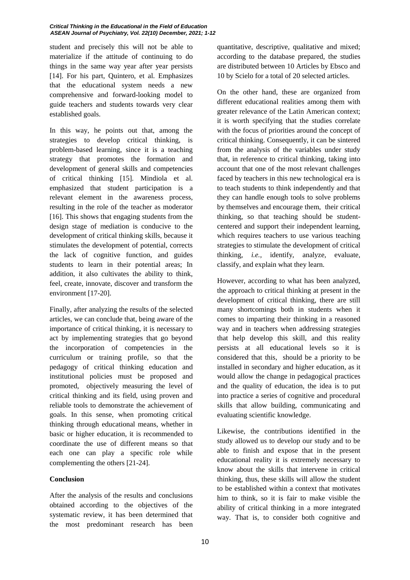student and precisely this will not be able to materialize if the attitude of continuing to do things in the same way year after year persists [14]. For his part, Quintero, et al. Emphasizes that the educational system needs a new comprehensive and forward-looking model to guide teachers and students towards very clear established goals.

In this way, he points out that, among the strategies to develop critical thinking, is problem-based learning, since it is a teaching strategy that promotes the formation and development of general skills and competencies of critical thinking [15]. Mindiola et al. emphasized that student participation is a relevant element in the awareness process, resulting in the role of the teacher as moderator [16]. This shows that engaging students from the design stage of mediation is conducive to the development of critical thinking skills, because it stimulates the development of potential, corrects the lack of cognitive function, and guides students to learn in their potential areas; In addition, it also cultivates the ability to think, feel, create, innovate, discover and transform the environment [17-20].

Finally, after analyzing the results of the selected articles, we can conclude that, being aware of the importance of critical thinking, it is necessary to act by implementing strategies that go beyond the incorporation of competencies in the curriculum or training profile, so that the pedagogy of critical thinking education and institutional policies must be proposed and promoted, objectively measuring the level of critical thinking and its field, using proven and reliable tools to demonstrate the achievement of goals. In this sense, when promoting critical thinking through educational means, whether in basic or higher education, it is recommended to coordinate the use of different means so that each one can play a specific role while complementing the others [21-24].

# **Conclusion**

After the analysis of the results and conclusions obtained according to the objectives of the systematic review, it has been determined that the most predominant research has been quantitative, descriptive, qualitative and mixed; according to the database prepared, the studies are distributed between 10 Articles by Ebsco and 10 by Scielo for a total of 20 selected articles.

On the other hand, these are organized from different educational realities among them with greater relevance of the Latin American context; it is worth specifying that the studies correlate with the focus of priorities around the concept of critical thinking. Consequently, it can be sintered from the analysis of the variables under study that, in reference to critical thinking, taking into account that one of the most relevant challenges faced by teachers in this new technological era is to teach students to think independently and that they can handle enough tools to solve problems by themselves and encourage them, their critical thinking, so that teaching should be studentcentered and support their independent learning, which requires teachers to use various teaching strategies to stimulate the development of critical thinking, *i.e.,* identify, analyze, evaluate, classify, and explain what they learn.

However, according to what has been analyzed, the approach to critical thinking at present in the development of critical thinking, there are still many shortcomings both in students when it comes to imparting their thinking in a reasoned way and in teachers when addressing strategies that help develop this skill, and this reality persists at all educational levels so it is considered that this, should be a priority to be installed in secondary and higher education, as it would allow the change in pedagogical practices and the quality of education, the idea is to put into practice a series of cognitive and procedural skills that allow building, communicating and evaluating scientific knowledge.

Likewise, the contributions identified in the study allowed us to develop our study and to be able to finish and expose that in the present educational reality it is extremely necessary to know about the skills that intervene in critical thinking, thus, these skills will allow the student to be established within a context that motivates him to think, so it is fair to make visible the ability of critical thinking in a more integrated way. That is, to consider both cognitive and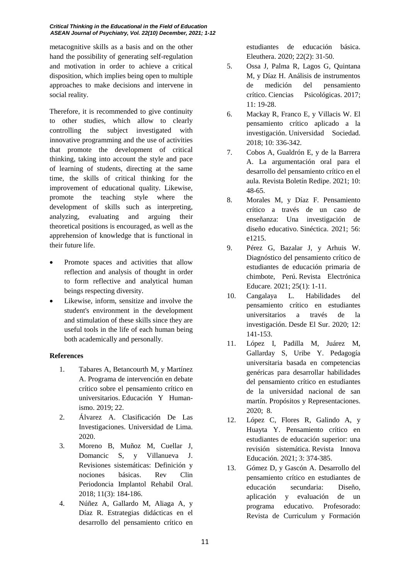#### *Critical Thinking in the Educational in the Field of Education ASEAN Journal of Psychiatry, Vol. 22(10) December, 2021; 1-12*

metacognitive skills as a basis and on the other hand the possibility of generating self-regulation and motivation in order to achieve a critical disposition, which implies being open to multiple approaches to make decisions and intervene in social reality.

Therefore, it is recommended to give continuity to other studies, which allow to clearly controlling the subject investigated with innovative programming and the use of activities that promote the development of critical thinking, taking into account the style and pace of learning of students, directing at the same time, the skills of critical thinking for the improvement of educational quality. Likewise, promote the teaching style where the development of skills such as interpreting, analyzing, evaluating and arguing their theoretical positions is encouraged, as well as the apprehension of knowledge that is functional in their future life.

- Promote spaces and activities that allow reflection and analysis of thought in order to form reflective and analytical human beings respecting diversity.
- Likewise, inform, sensitize and involve the student's environment in the development and stimulation of these skills since they are useful tools in the life of each human being both academically and personally.

# **References**

- 1. Tabares A, Betancourth M, y Martínez A. [Programa de intervención en debate](http://revistas.unisimon.edu.co/index.php/educacion/article/view/3577)  [crítico sobre el pensamiento crítico en](http://revistas.unisimon.edu.co/index.php/educacion/article/view/3577)  [universitarios.](http://revistas.unisimon.edu.co/index.php/educacion/article/view/3577) Educación Y Humanismo. 2019; 22.
- 2. Álvarez A. [Clasificación De Las](https://repositorio.ulima.edu.pe/handle/20.500.12724/10818)  [Investigaciones.](https://repositorio.ulima.edu.pe/handle/20.500.12724/10818) Universidad de Lima. 2020.
- 3. Moreno B, Muñoz M, Cuellar J, Domancic S, y Villanueva J. [Revisiones sistemáticas: Definición y](https://www.scielo.cl/scielo.php?script=sci_arttext&pid=S0719-01072018000300184)  [nociones básicas.](https://www.scielo.cl/scielo.php?script=sci_arttext&pid=S0719-01072018000300184) Rev Clin Periodoncia Implantol Rehabil Oral. 2018; 11(3): 184-186.
- 4. Núñez A, Gallardo M, Aliaga A, y Díaz R. [Estrategias didácticas en el](https://revistasojs.ucaldas.edu.co/index.php/eleuthera/article/view/2560)  [desarrollo del pensamiento crítico en](https://revistasojs.ucaldas.edu.co/index.php/eleuthera/article/view/2560)

[estudiantes de educación básica.](https://revistasojs.ucaldas.edu.co/index.php/eleuthera/article/view/2560)  [Eleuthera.](https://revistasojs.ucaldas.edu.co/index.php/eleuthera/article/view/2560) 2020; 22(2): 31-50.

- 5. Ossa J, Palma R, Lagos G, Quintana M, y Díaz H. [Análisis de instrumentos](http://www.scielo.edu.uy/scielo.php?script=sci_arttext&pid=S1688-42212017000100019)  [de medición del pensamiento](http://www.scielo.edu.uy/scielo.php?script=sci_arttext&pid=S1688-42212017000100019)  [crítico.](http://www.scielo.edu.uy/scielo.php?script=sci_arttext&pid=S1688-42212017000100019) Ciencias Psicológicas. 2017; 11: 19-28.
- 6. Mackay R, Franco E, y Villacis W. [El](http://scielo.sld.cu/scielo.php?script=sci_arttext&pid=S2218-36202018000100336#:~:text=En%20el%20%C3%A1rea%20investigativa%2C%20el,este%20estudio%20sea%20m%C3%A1s%20confiable.&text=El%20estudio%20del%20pensamiento%20cr%C3%ADtico,el%20%C3%A1rea%20te%C3%B3rica%20y%20pedag%C3%B3gica.)  [pensamiento crítico aplicado a la](http://scielo.sld.cu/scielo.php?script=sci_arttext&pid=S2218-36202018000100336#:~:text=En%20el%20%C3%A1rea%20investigativa%2C%20el,este%20estudio%20sea%20m%C3%A1s%20confiable.&text=El%20estudio%20del%20pensamiento%20cr%C3%ADtico,el%20%C3%A1rea%20te%C3%B3rica%20y%20pedag%C3%B3gica.)  [investigación.](http://scielo.sld.cu/scielo.php?script=sci_arttext&pid=S2218-36202018000100336#:~:text=En%20el%20%C3%A1rea%20investigativa%2C%20el,este%20estudio%20sea%20m%C3%A1s%20confiable.&text=El%20estudio%20del%20pensamiento%20cr%C3%ADtico,el%20%C3%A1rea%20te%C3%B3rica%20y%20pedag%C3%B3gica.) Universidad Sociedad. 2018; 10: 336-342.
- 7. Cobos A, Gualdrón E, y de la Barrera A. [La argumentación oral para el](https://revista.redipe.org/index.php/1/article/view/1426)  [desarrollo del pensamiento crítico en el](https://revista.redipe.org/index.php/1/article/view/1426)  [aula.](https://revista.redipe.org/index.php/1/article/view/1426) Revista Boletín Redipe. 2021; 10: 48-65.
- 8. Morales M, y Díaz F. [Pensamiento](http://www.scielo.org.mx/scielo.php?script=sci_arttext&pid=S1665-109X2021000100404)  [crítico a través de un caso de](http://www.scielo.org.mx/scielo.php?script=sci_arttext&pid=S1665-109X2021000100404)  [enseñanza: Una investigación de](http://www.scielo.org.mx/scielo.php?script=sci_arttext&pid=S1665-109X2021000100404)  [diseño educativo.](http://www.scielo.org.mx/scielo.php?script=sci_arttext&pid=S1665-109X2021000100404) Sinéctica. 2021; 56: e1215.
- 9. Pérez G, Bazalar J, y Arhuis W. [Diagnóstico del pensamiento crítico de](https://www.scielo.sa.cr/scielo.php?pid=S1409-42582021000100289&script=sci_abstract&tlng=es)  [estudiantes de educación primaria de](https://www.scielo.sa.cr/scielo.php?pid=S1409-42582021000100289&script=sci_abstract&tlng=es)  [chimbote, Perú.](https://www.scielo.sa.cr/scielo.php?pid=S1409-42582021000100289&script=sci_abstract&tlng=es) Revista Electrónica Educare. 2021; 25(1): 1-11.
- 10. Cangalaya L. [Habilidades del](http://www.scielo.org.pe/scielo.php?pid=S2415-09592020000100141&script=sci_arttext)  [pensamiento crítico en estudiantes](http://www.scielo.org.pe/scielo.php?pid=S2415-09592020000100141&script=sci_arttext)  [universitarios a través de la](http://www.scielo.org.pe/scielo.php?pid=S2415-09592020000100141&script=sci_arttext)  [investigación.](http://www.scielo.org.pe/scielo.php?pid=S2415-09592020000100141&script=sci_arttext) Desde El Sur. 2020; 12: 141-153.
- 11. López I, Padilla M, Juárez M, Gallarday S, Uribe Y. [Pedagogía](https://revistas.usil.edu.pe/index.php/pyr/article/view/561)  [universitaria basada en competencias](https://revistas.usil.edu.pe/index.php/pyr/article/view/561)  [genéricas para desarrollar habilidades](https://revistas.usil.edu.pe/index.php/pyr/article/view/561)  [del pensamiento crítico en estudiantes](https://revistas.usil.edu.pe/index.php/pyr/article/view/561)  [de la universidad nacional de san](https://revistas.usil.edu.pe/index.php/pyr/article/view/561)  [martín.](https://revistas.usil.edu.pe/index.php/pyr/article/view/561) Propósitos y Representaciones. 2020; 8.
- 12. López C, Flores R, Galindo A, y Huayta Y. [Pensamiento crítico en](https://revistainnovaeducacion.com/index.php/rie/article/view/229#:~:text=Se%20concluy%C3%B3%20que%20el%20desarrollo,ense%C3%B1anza%2Daprendizaje%20que%20exige%20claridad%2C)  [estudiantes de educación superior: una](https://revistainnovaeducacion.com/index.php/rie/article/view/229#:~:text=Se%20concluy%C3%B3%20que%20el%20desarrollo,ense%C3%B1anza%2Daprendizaje%20que%20exige%20claridad%2C)  [revisión sistemática.](https://revistainnovaeducacion.com/index.php/rie/article/view/229#:~:text=Se%20concluy%C3%B3%20que%20el%20desarrollo,ense%C3%B1anza%2Daprendizaje%20que%20exige%20claridad%2C) Revista Innova Educación. 2021; 3: 374-385.
- 13. Gómez D, y Gascón A. [Desarrollo del](https://repositorio.uam.es/handle/10486/668574)  [pensamiento crítico en estudiantes de](https://repositorio.uam.es/handle/10486/668574)  [educación secundaria: Diseño,](https://repositorio.uam.es/handle/10486/668574)  [aplicación y evaluación de un](https://repositorio.uam.es/handle/10486/668574)  [programa educativo.](https://repositorio.uam.es/handle/10486/668574) Profesorado: Revista de Curriculum y Formación